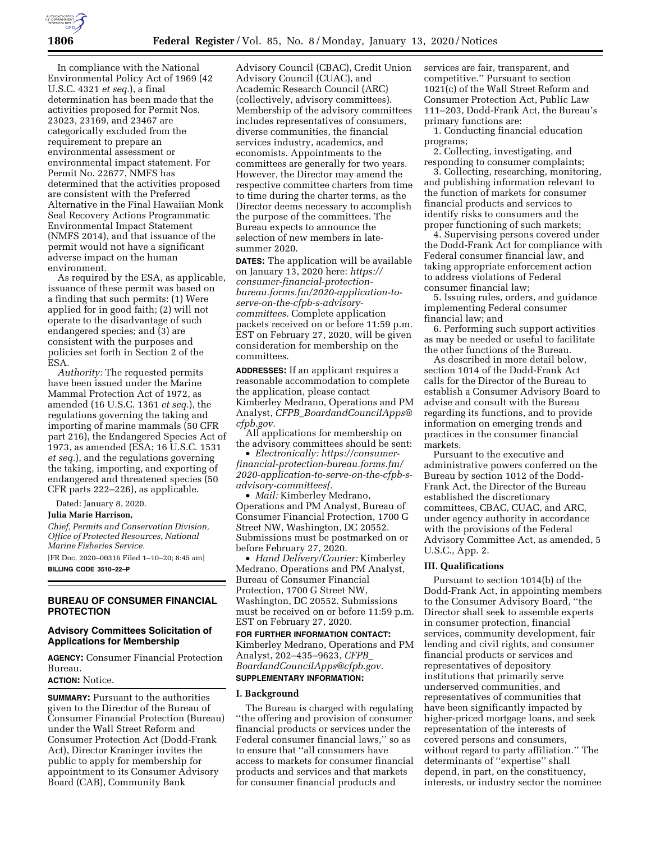

In compliance with the National Environmental Policy Act of 1969 (42 U.S.C. 4321 *et seq.*), a final determination has been made that the activities proposed for Permit Nos. 23023, 23169, and 23467 are categorically excluded from the requirement to prepare an environmental assessment or environmental impact statement. For Permit No. 22677, NMFS has determined that the activities proposed are consistent with the Preferred Alternative in the Final Hawaiian Monk Seal Recovery Actions Programmatic Environmental Impact Statement (NMFS 2014), and that issuance of the permit would not have a significant adverse impact on the human environment.

As required by the ESA, as applicable, issuance of these permit was based on a finding that such permits: (1) Were applied for in good faith; (2) will not operate to the disadvantage of such endangered species; and (3) are consistent with the purposes and policies set forth in Section 2 of the ESA.

*Authority:* The requested permits have been issued under the Marine Mammal Protection Act of 1972, as amended (16 U.S.C. 1361 *et seq.*), the regulations governing the taking and importing of marine mammals (50 CFR part 216), the Endangered Species Act of 1973, as amended (ESA; 16 U.S.C. 1531 *et seq.*), and the regulations governing the taking, importing, and exporting of endangered and threatened species (50 CFR parts 222–226), as applicable.

Dated: January 8, 2020.

#### **Julia Marie Harrison,**

*Chief, Permits and Conservation Division, Office of Protected Resources, National Marine Fisheries Service.* 

[FR Doc. 2020–00316 Filed 1–10–20; 8:45 am] **BILLING CODE 3510–22–P** 

## **BUREAU OF CONSUMER FINANCIAL PROTECTION**

# **Advisory Committees Solicitation of Applications for Membership**

**AGENCY:** Consumer Financial Protection Bureau.

# **ACTION:** Notice.

**SUMMARY:** Pursuant to the authorities given to the Director of the Bureau of Consumer Financial Protection (Bureau) under the Wall Street Reform and Consumer Protection Act (Dodd-Frank Act), Director Kraninger invites the public to apply for membership for appointment to its Consumer Advisory Board (CAB), Community Bank

Advisory Council (CBAC), Credit Union Advisory Council (CUAC), and Academic Research Council (ARC) (collectively, advisory committees). Membership of the advisory committees includes representatives of consumers, diverse communities, the financial services industry, academics, and economists. Appointments to the committees are generally for two years. However, the Director may amend the respective committee charters from time to time during the charter terms, as the Director deems necessary to accomplish the purpose of the committees. The Bureau expects to announce the selection of new members in latesummer 2020.

**DATES:** The application will be available on January 13, 2020 here: *[https://](https://consumer-financial-protection-bureau.forms.fm/2020-application-to-serve-on-the-cfpb-s-advisory-committees) [consumer-financial-protection](https://consumer-financial-protection-bureau.forms.fm/2020-application-to-serve-on-the-cfpb-s-advisory-committees)[bureau.forms.fm/2020-application-to](https://consumer-financial-protection-bureau.forms.fm/2020-application-to-serve-on-the-cfpb-s-advisory-committees)[serve-on-the-cfpb-s-advisory](https://consumer-financial-protection-bureau.forms.fm/2020-application-to-serve-on-the-cfpb-s-advisory-committees)[committees](https://consumer-financial-protection-bureau.forms.fm/2020-application-to-serve-on-the-cfpb-s-advisory-committees).* Complete application packets received on or before 11:59 p.m. EST on February 27, 2020, will be given consideration for membership on the committees.

**ADDRESSES:** If an applicant requires a reasonable accommodation to complete the application, please contact Kimberley Medrano, Operations and PM Analyst, *CFPB*\_*[BoardandCouncilApps@](mailto:CFPB_BoardandCouncilApps@cfpb.gov) [cfpb.gov.](mailto:CFPB_BoardandCouncilApps@cfpb.gov)* 

All applications for membership on the advisory committees should be sent:

• *Electronically: [https://consumer](https://consumer-financial-protection-bureau.forms.fm/2020-application-to-serve-on-the-cfpb-s-advisory-committees[)[financial-protection-bureau.forms.fm/](https://consumer-financial-protection-bureau.forms.fm/2020-application-to-serve-on-the-cfpb-s-advisory-committees[)  [2020-application-to-serve-on-the-cfpb-s](https://consumer-financial-protection-bureau.forms.fm/2020-application-to-serve-on-the-cfpb-s-advisory-committees[)[advisory-committees\[.](https://consumer-financial-protection-bureau.forms.fm/2020-application-to-serve-on-the-cfpb-s-advisory-committees[)* 

• *Mail:* Kimberley Medrano, Operations and PM Analyst, Bureau of Consumer Financial Protection, 1700 G Street NW, Washington, DC 20552. Submissions must be postmarked on or before February 27, 2020.

• *Hand Delivery/Courier:* Kimberley Medrano, Operations and PM Analyst, Bureau of Consumer Financial Protection, 1700 G Street NW, Washington, DC 20552. Submissions must be received on or before 11:59 p.m. EST on February 27, 2020.

# **FOR FURTHER INFORMATION CONTACT:**  Kimberley Medrano, Operations and PM Analyst, 202–435–9623, *[CFPB](mailto:CFPB_BoardandCouncilApps@cfpb.gov)*\_ *[BoardandCouncilApps@cfpb.gov.](mailto:CFPB_BoardandCouncilApps@cfpb.gov)*  **SUPPLEMENTARY INFORMATION:**

#### **I. Background**

The Bureau is charged with regulating ''the offering and provision of consumer financial products or services under the Federal consumer financial laws,'' so as to ensure that ''all consumers have access to markets for consumer financial products and services and that markets for consumer financial products and

services are fair, transparent, and competitive.'' Pursuant to section 1021(c) of the Wall Street Reform and Consumer Protection Act, Public Law 111–203, Dodd-Frank Act, the Bureau's primary functions are:

1. Conducting financial education programs;

2. Collecting, investigating, and responding to consumer complaints;

3. Collecting, researching, monitoring, and publishing information relevant to the function of markets for consumer financial products and services to identify risks to consumers and the proper functioning of such markets;

4. Supervising persons covered under the Dodd-Frank Act for compliance with Federal consumer financial law, and taking appropriate enforcement action to address violations of Federal consumer financial law;

5. Issuing rules, orders, and guidance implementing Federal consumer financial law; and

6. Performing such support activities as may be needed or useful to facilitate the other functions of the Bureau.

As described in more detail below, section 1014 of the Dodd-Frank Act calls for the Director of the Bureau to establish a Consumer Advisory Board to advise and consult with the Bureau regarding its functions, and to provide information on emerging trends and practices in the consumer financial markets.

Pursuant to the executive and administrative powers conferred on the Bureau by section 1012 of the Dodd-Frank Act, the Director of the Bureau established the discretionary committees, CBAC, CUAC, and ARC, under agency authority in accordance with the provisions of the Federal Advisory Committee Act, as amended, 5 U.S.C., App. 2.

#### **III. Qualifications**

Pursuant to section 1014(b) of the Dodd-Frank Act, in appointing members to the Consumer Advisory Board, ''the Director shall seek to assemble experts in consumer protection, financial services, community development, fair lending and civil rights, and consumer financial products or services and representatives of depository institutions that primarily serve underserved communities, and representatives of communities that have been significantly impacted by higher-priced mortgage loans, and seek representation of the interests of covered persons and consumers, without regard to party affiliation.'' The determinants of ''expertise'' shall depend, in part, on the constituency, interests, or industry sector the nominee